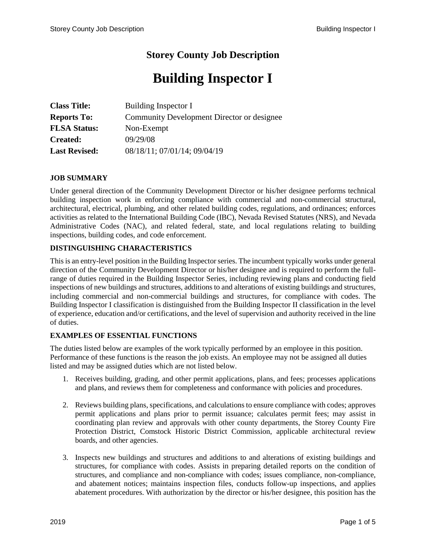# **Storey County Job Description**

# **Building Inspector I**

| <b>Class Title:</b>  | Building Inspector I                       |
|----------------------|--------------------------------------------|
| <b>Reports To:</b>   | Community Development Director or designee |
| <b>FLSA Status:</b>  | Non-Exempt                                 |
| <b>Created:</b>      | 09/29/08                                   |
| <b>Last Revised:</b> | 08/18/11; 07/01/14; 09/04/19               |

# **JOB SUMMARY**

Under general direction of the Community Development Director or his/her designee performs technical building inspection work in enforcing compliance with commercial and non-commercial structural, architectural, electrical, plumbing, and other related building codes, regulations, and ordinances; enforces activities as related to the International Building Code (IBC), Nevada Revised Statutes (NRS), and Nevada Administrative Codes (NAC), and related federal, state, and local regulations relating to building inspections, building codes, and code enforcement.

# **DISTINGUISHING CHARACTERISTICS**

This is an entry-level position in the Building Inspector series. The incumbent typically works under general direction of the Community Development Director or his/her designee and is required to perform the fullrange of duties required in the Building Inspector Series, including reviewing plans and conducting field inspections of new buildings and structures, additions to and alterations of existing buildings and structures, including commercial and non-commercial buildings and structures, for compliance with codes. The Building Inspector I classification is distinguished from the Building Inspector II classification in the level of experience, education and/or certifications, and the level of supervision and authority received in the line of duties.

#### **EXAMPLES OF ESSENTIAL FUNCTIONS**

The duties listed below are examples of the work typically performed by an employee in this position. Performance of these functions is the reason the job exists. An employee may not be assigned all duties listed and may be assigned duties which are not listed below.

- 1. Receives building, grading, and other permit applications, plans, and fees; processes applications and plans, and reviews them for completeness and conformance with policies and procedures.
- 2. Reviews building plans, specifications, and calculations to ensure compliance with codes; approves permit applications and plans prior to permit issuance; calculates permit fees; may assist in coordinating plan review and approvals with other county departments, the Storey County Fire Protection District, Comstock Historic District Commission, applicable architectural review boards, and other agencies.
- 3. Inspects new buildings and structures and additions to and alterations of existing buildings and structures, for compliance with codes. Assists in preparing detailed reports on the condition of structures, and compliance and non-compliance with codes; issues compliance, non-compliance, and abatement notices; maintains inspection files, conducts follow-up inspections, and applies abatement procedures. With authorization by the director or his/her designee, this position has the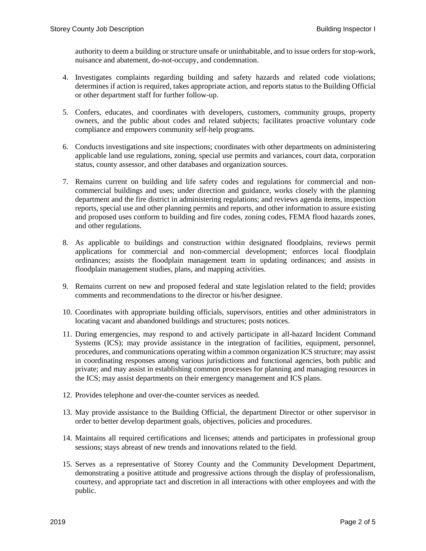authority to deem a building or structure unsafe or uninhabitable, and to issue orders for stop-work, nuisance and abatement, do-not-occupy, and condemnation.

- 4. Investigates complaints regarding building and safety hazards and related code violations; determines if action is required, takes appropriate action, and reports status to the Building Official or other department staff for further follow-up.
- 5. Confers, educates, and coordinates with developers, customers, community groups, property owners, and the public about codes and related subjects; facilitates proactive voluntary code compliance and empowers community self-help programs.
- 6. Conducts investigations and site inspections; coordinates with other departments on administering applicable land use regulations, zoning, special use permits and variances, court data, corporation status, county assessor, and other databases and organization sources.
- 7. Remains current on building and life safety codes and regulations for commercial and noncommercial buildings and uses; under direction and guidance, works closely with the planning department and the fire district in administering regulations; and reviews agenda items, inspection reports, special use and other planning permits and reports, and other information to assure existing and proposed uses conform to building and fire codes, zoning codes, FEMA flood hazards zones, and other regulations.
- 8. As applicable to buildings and construction within designated floodplains, reviews permit applications for commercial and non-commercial development; enforces local floodplain ordinances; assists the floodplain management team in updating ordinances; and assists in floodplain management studies, plans, and mapping activities.
- 9. Remains current on new and proposed federal and state legislation related to the field; provides comments and recommendations to the director or his/her designee.
- 10. Coordinates with appropriate building officials, supervisors, entities and other administrators in locating vacant and abandoned buildings and structures; posts notices.
- 11. During emergencies, may respond to and actively participate in all-hazard Incident Command Systems (ICS); may provide assistance in the integration of facilities, equipment, personnel, procedures, and communications operating within a common organization ICS structure; may assist in coordinating responses among various jurisdictions and functional agencies, both public and private; and may assist in establishing common processes for planning and managing resources in the ICS; may assist departments on their emergency management and ICS plans.
- 12. Provides telephone and over-the-counter services as needed.
- 13. May provide assistance to the Building Official, the department Director or other supervisor in order to better develop department goals, objectives, policies and procedures.
- 14. Maintains all required certifications and licenses; attends and participates in professional group sessions; stays abreast of new trends and innovations related to the field.
- 15. Serves as a representative of Storey County and the Community Development Department, demonstrating a positive attitude and progressive actions through the display of professionalism, courtesy, and appropriate tact and discretion in all interactions with other employees and with the public.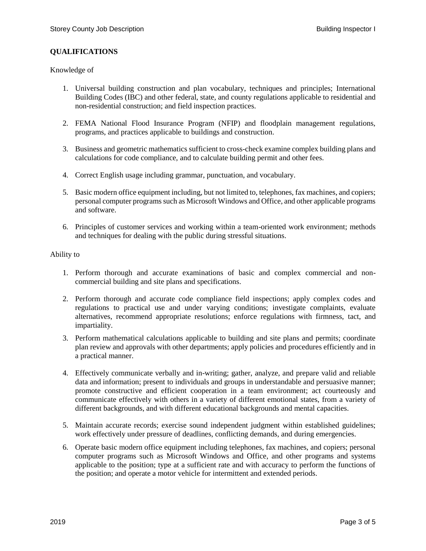# **QUALIFICATIONS**

### Knowledge of

- 1. Universal building construction and plan vocabulary, techniques and principles; International Building Codes (IBC) and other federal, state, and county regulations applicable to residential and non-residential construction; and field inspection practices.
- 2. FEMA National Flood Insurance Program (NFIP) and floodplain management regulations, programs, and practices applicable to buildings and construction.
- 3. Business and geometric mathematics sufficient to cross-check examine complex building plans and calculations for code compliance, and to calculate building permit and other fees.
- 4. Correct English usage including grammar, punctuation, and vocabulary.
- 5. Basic modern office equipment including, but not limited to, telephones, fax machines, and copiers; personal computer programs such as Microsoft Windows and Office, and other applicable programs and software.
- 6. Principles of customer services and working within a team-oriented work environment; methods and techniques for dealing with the public during stressful situations.

#### Ability to

- 1. Perform thorough and accurate examinations of basic and complex commercial and noncommercial building and site plans and specifications.
- 2. Perform thorough and accurate code compliance field inspections; apply complex codes and regulations to practical use and under varying conditions; investigate complaints, evaluate alternatives, recommend appropriate resolutions; enforce regulations with firmness, tact, and impartiality.
- 3. Perform mathematical calculations applicable to building and site plans and permits; coordinate plan review and approvals with other departments; apply policies and procedures efficiently and in a practical manner.
- 4. Effectively communicate verbally and in-writing; gather, analyze, and prepare valid and reliable data and information; present to individuals and groups in understandable and persuasive manner; promote constructive and efficient cooperation in a team environment; act courteously and communicate effectively with others in a variety of different emotional states, from a variety of different backgrounds, and with different educational backgrounds and mental capacities.
- 5. Maintain accurate records; exercise sound independent judgment within established guidelines; work effectively under pressure of deadlines, conflicting demands, and during emergencies.
- 6. Operate basic modern office equipment including telephones, fax machines, and copiers; personal computer programs such as Microsoft Windows and Office, and other programs and systems applicable to the position; type at a sufficient rate and with accuracy to perform the functions of the position; and operate a motor vehicle for intermittent and extended periods.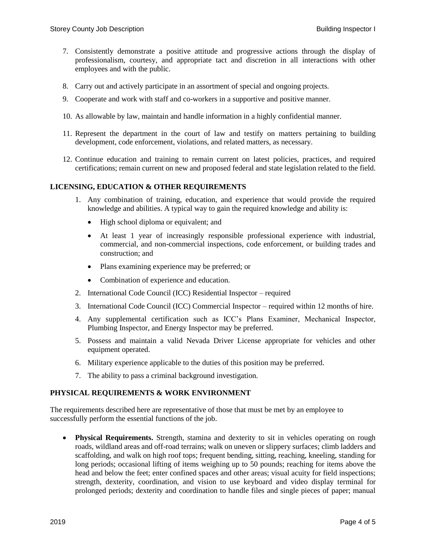- 7. Consistently demonstrate a positive attitude and progressive actions through the display of professionalism, courtesy, and appropriate tact and discretion in all interactions with other employees and with the public.
- 8. Carry out and actively participate in an assortment of special and ongoing projects.
- 9. Cooperate and work with staff and co-workers in a supportive and positive manner.
- 10. As allowable by law, maintain and handle information in a highly confidential manner.
- 11. Represent the department in the court of law and testify on matters pertaining to building development, code enforcement, violations, and related matters, as necessary.
- 12. Continue education and training to remain current on latest policies, practices, and required certifications; remain current on new and proposed federal and state legislation related to the field.

# **LICENSING, EDUCATION & OTHER REQUIREMENTS**

- 1. Any combination of training, education, and experience that would provide the required knowledge and abilities. A typical way to gain the required knowledge and ability is:
	- High school diploma or equivalent; and
	- At least 1 year of increasingly responsible professional experience with industrial, commercial, and non-commercial inspections, code enforcement, or building trades and construction; and
	- Plans examining experience may be preferred; or
	- Combination of experience and education.
- 2. International Code Council (ICC) Residential Inspector required
- 3. International Code Council (ICC) Commercial Inspector required within 12 months of hire.
- 4. Any supplemental certification such as ICC's Plans Examiner, Mechanical Inspector, Plumbing Inspector, and Energy Inspector may be preferred.
- 5. Possess and maintain a valid Nevada Driver License appropriate for vehicles and other equipment operated.
- 6. Military experience applicable to the duties of this position may be preferred.
- 7. The ability to pass a criminal background investigation.

# **PHYSICAL REQUIREMENTS & WORK ENVIRONMENT**

The requirements described here are representative of those that must be met by an employee to successfully perform the essential functions of the job.

 **Physical Requirements.** Strength, stamina and dexterity to sit in vehicles operating on rough roads, wildland areas and off-road terrains; walk on uneven or slippery surfaces; climb ladders and scaffolding, and walk on high roof tops; frequent bending, sitting, reaching, kneeling, standing for long periods; occasional lifting of items weighing up to 50 pounds; reaching for items above the head and below the feet; enter confined spaces and other areas; visual acuity for field inspections; strength, dexterity, coordination, and vision to use keyboard and video display terminal for prolonged periods; dexterity and coordination to handle files and single pieces of paper; manual